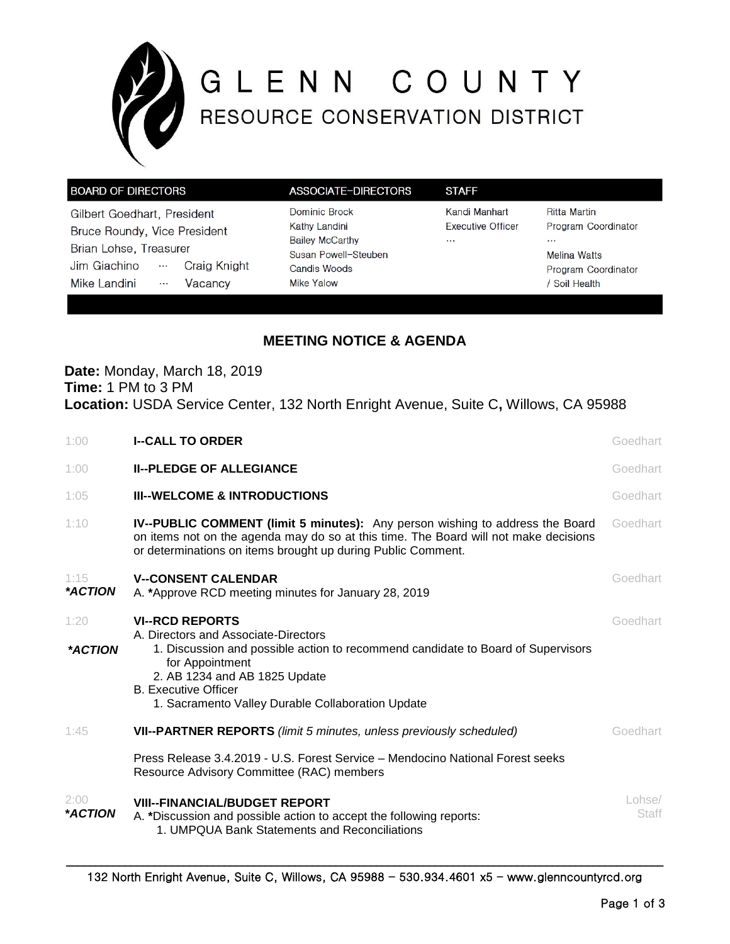

# GLENN COUNTY

| <b>BOARD OF DIRECTORS</b>                              | ASSOCIATE-DIRECTORS                            | <b>STAFF</b>                              |                                            |
|--------------------------------------------------------|------------------------------------------------|-------------------------------------------|--------------------------------------------|
| Gilbert Goedhart, President                            | Dominic Brock<br>Kathy Landini                 | Kandi Manhart<br><b>Executive Officer</b> | <b>Ritta Martin</b><br>Program Coordinator |
| Bruce Roundy, Vice President<br>Brian Lohse, Treasurer | <b>Bailey McCarthy</b><br>Susan Powell-Steuben | $\cdots$                                  | $\cdots$<br><b>Melina Watts</b>            |
| Jim Giachino<br>$\cdots$                               | Craig Knight<br>Candis Woods                   |                                           | Program Coordinator                        |
| Mike Landini<br>Vacancy<br>$\cdots$                    | Mike Yalow                                     |                                           | Soil Health                                |

# **MEETING NOTICE & AGENDA**

# **Date:** Monday, March 18, 2019 **Time:** 1 PM to 3 PM **Location:** USDA Service Center, 132 North Enright Avenue, Suite C**,** Willows, CA 95988

| 1:00            | <b>I--CALL TO ORDER</b>                                                                                                                                                                                                                                                                    | Goedhart        |
|-----------------|--------------------------------------------------------------------------------------------------------------------------------------------------------------------------------------------------------------------------------------------------------------------------------------------|-----------------|
| 1:00            | <b>II--PLEDGE OF ALLEGIANCE</b>                                                                                                                                                                                                                                                            | Goedhart        |
| 1:05            | <b>III--WELCOME &amp; INTRODUCTIONS</b>                                                                                                                                                                                                                                                    | Goedhart        |
| 1:10            | <b>IV--PUBLIC COMMENT (limit 5 minutes):</b> Any person wishing to address the Board<br>on items not on the agenda may do so at this time. The Board will not make decisions<br>or determinations on items brought up during Public Comment.                                               | Goedhart        |
| 1:15<br>*ACTION | <b>V--CONSENT CALENDAR</b><br>A. *Approve RCD meeting minutes for January 28, 2019                                                                                                                                                                                                         | Goedhart        |
| 1:20<br>*ACTION | <b>VI--RCD REPORTS</b><br>A. Directors and Associate-Directors<br>1. Discussion and possible action to recommend candidate to Board of Supervisors<br>for Appointment<br>2. AB 1234 and AB 1825 Update<br><b>B.</b> Executive Officer<br>1. Sacramento Valley Durable Collaboration Update | Goedhart        |
| 1:45            | VII--PARTNER REPORTS (limit 5 minutes, unless previously scheduled)                                                                                                                                                                                                                        | Goedhart        |
|                 | Press Release 3.4.2019 - U.S. Forest Service – Mendocino National Forest seeks<br>Resource Advisory Committee (RAC) members                                                                                                                                                                |                 |
| 2:00<br>*ACTION | <b>VIII--FINANCIAL/BUDGET REPORT</b><br>A. *Discussion and possible action to accept the following reports:<br>1. UMPQUA Bank Statements and Reconciliations                                                                                                                               | Lohse/<br>Staff |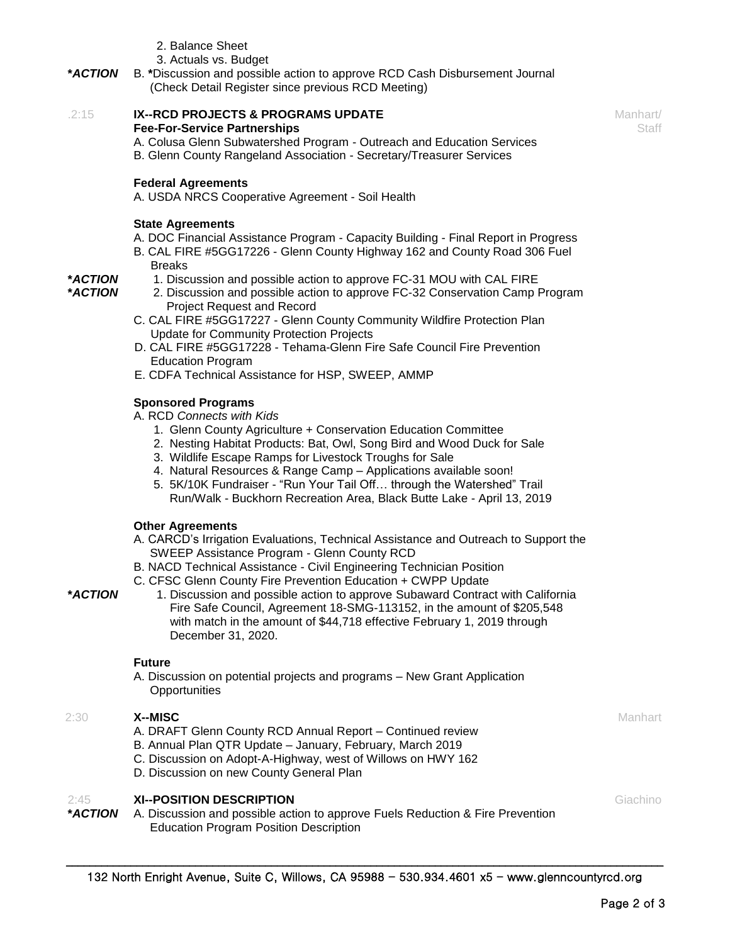- 2. Balance Sheet
- 3. Actuals vs. Budget
- **\****ACTION* B. **\***Discussion and possible action to approve RCD Cash Disbursement Journal (Check Detail Register since previous RCD Meeting)

### .2:15 **IX--RCD PROJECTS & PROGRAMS UPDATE Fee-For-Service Partnerships**

A. Colusa Glenn Subwatershed Program - Outreach and Education Services B. Glenn County Rangeland Association - Secretary/Treasurer Services

## **Federal Agreements**

A. USDA NRCS Cooperative Agreement - Soil Health

### **State Agreements**

**\****ACTION* **\****ACTION*

- A. DOC Financial Assistance Program Capacity Building Final Report in Progress
- B. CAL FIRE #5GG17226 Glenn County Highway 162 and County Road 306 Fuel **Breaks**
- 1. Discussion and possible action to approve FC-31 MOU with CAL FIRE
	- 2. Discussion and possible action to approve FC-32 Conservation Camp Program Project Request and Record
- C. CAL FIRE #5GG17227 Glenn County Community Wildfire Protection Plan Update for Community Protection Projects
- D. CAL FIRE #5GG17228 Tehama-Glenn Fire Safe Council Fire Prevention Education Program
- E. CDFA Technical Assistance for HSP, SWEEP, AMMP

### **Sponsored Programs**

A. RCD *Connects with Kids*

- 1. Glenn County Agriculture + Conservation Education Committee
- 2. Nesting Habitat Products: Bat, Owl, Song Bird and Wood Duck for Sale
- 3. Wildlife Escape Ramps for Livestock Troughs for Sale
- 4. Natural Resources & Range Camp Applications available soon!
- 5. 5K/10K Fundraiser "Run Your Tail Off… through the Watershed" Trail Run/Walk - Buckhorn Recreation Area, Black Butte Lake - April 13, 2019

### **Other Agreements**

- A. CARCD's Irrigation Evaluations, Technical Assistance and Outreach to Support the SWEEP Assistance Program - Glenn County RCD
- B. NACD Technical Assistance Civil Engineering Technician Position
- C. CFSC Glenn County Fire Prevention Education + CWPP Update
- 1. Discussion and possible action to approve Subaward Contract with California Fire Safe Council, Agreement 18-SMG-113152, in the amount of \$205,548 with match in the amount of \$44,718 effective February 1, 2019 through December 31, 2020.

### **Future**

A. Discussion on potential projects and programs – New Grant Application **Opportunities** 

### 2:30 **X--MISC**

**\****ACTION*

- A. DRAFT Glenn County RCD Annual Report Continued review
- B. Annual Plan QTR Update January, February, March 2019
- C. Discussion on Adopt-A-Highway, west of Willows on HWY 162
- D. Discussion on new County General Plan

### $2.45$ **XI--POSITION DESCRIPTION**

**\****ACTION* A. Discussion and possible action to approve Fuels Reduction & Fire Prevention Education Program Position Description

**Manhart** 

Manhart/ **Staff**